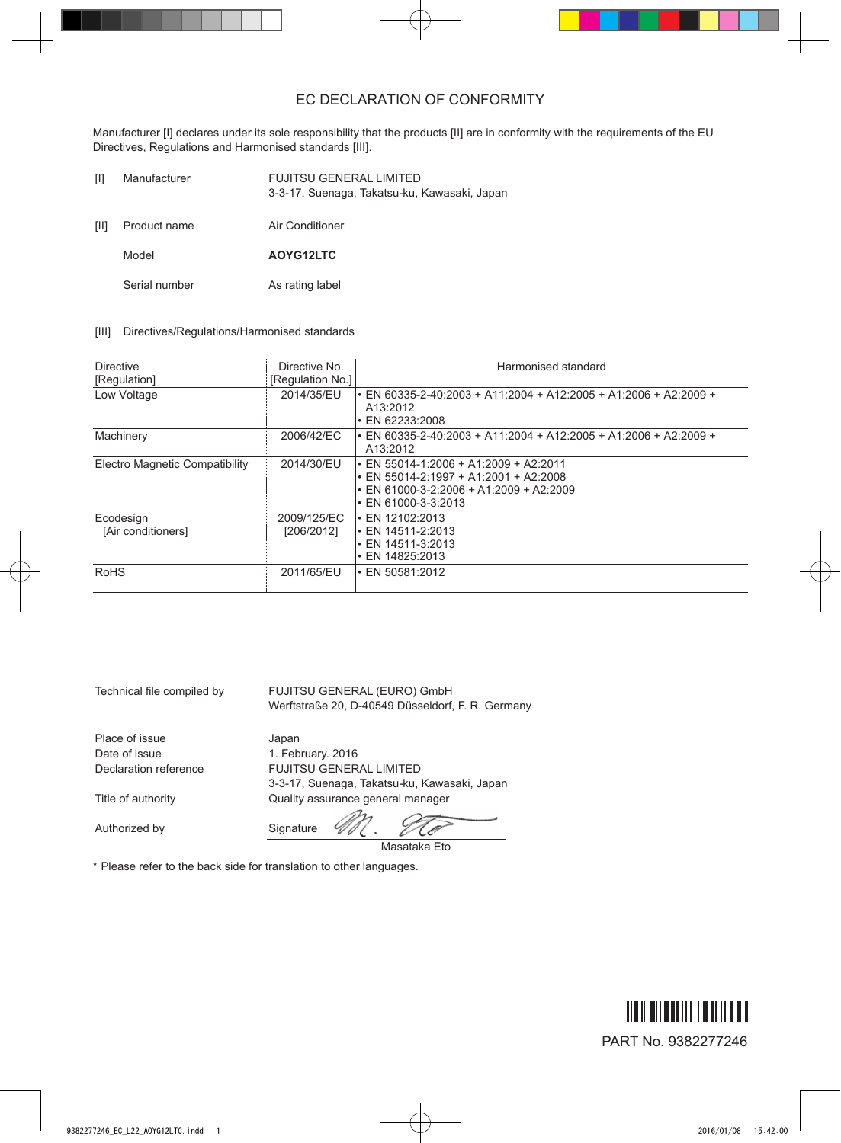## EC DECLARATION OF CONFORMITY

Manufacturer [I] declares under its sole responsibility that the products [II] are in conformity with the requirements of the EU Directives, Regulations and Harmonised standards [III].

| TП   | Manufacturer  | <b>FUJITSU GENERAL LIMITED</b><br>3-3-17, Suenaga, Takatsu-ku, Kawasaki, Japan |
|------|---------------|--------------------------------------------------------------------------------|
| [II] | Product name  | Air Conditioner                                                                |
|      | Model         | AOYG12LTC                                                                      |
|      | Serial number | As rating label                                                                |

[III] Directives/Regulations/Harmonised standards

| <b>Directive</b><br>[Regulation] | Directive No.<br>[Regulation No.] | Harmonised standard                                                                                                                                                      |
|----------------------------------|-----------------------------------|--------------------------------------------------------------------------------------------------------------------------------------------------------------------------|
| Low Voltage                      | 2014/35/EU                        | $\cdot$ EN 60335-2-40:2003 + A11:2004 + A12:2005 + A1:2006 + A2:2009 +<br>A13:2012<br>$\cdot$ EN 62233:2008                                                              |
| Machinery                        | 2006/42/EC                        | • EN 60335-2-40:2003 + A11:2004 + A12:2005 + A1:2006 + A2:2009 +<br>A13:2012                                                                                             |
| Electro Magnetic Compatibility   | 2014/30/EU                        | $\cdot$ EN 55014-1:2006 + A1:2009 + A2:2011<br>$\cdot$ EN 55014-2:1997 + A1:2001 + A2:2008<br>$\cdot$ EN 61000-3-2:2006 + A1:2009 + A2:2009<br>$\cdot$ EN 61000-3-3:2013 |
| Ecodesign<br>[Air conditioners]  | 2009/125/EC<br>[206/2012]         | $\cdot$ EN 12102:2013<br>• EN 14511-2:2013<br>$\cdot$ EN 14511-3:2013<br>$\cdot$ EN 14825:2013                                                                           |
| <b>RoHS</b>                      | 2011/65/EU                        | $\cdot$ EN 50581:2012                                                                                                                                                    |

| Technical file compiled by | FUJITSU GENERAL (EURO) GmbH<br>Werftstraße 20, D-40549 Düsseldorf, F. R. Germany |
|----------------------------|----------------------------------------------------------------------------------|
| Place of issue             | Japan                                                                            |
| Date of issue              | 1. February. 2016                                                                |
| Declaration reference      | <b>FUJITSU GENERAL LIMITED</b>                                                   |
|                            | 3-3-17, Suenaga, Takatsu-ku, Kawasaki, Japan                                     |
| Title of authority         | Quality assurance general manager                                                |
|                            | $\mathcal{P}_{\mathcal{P}}$<br>$\sim$                                            |

Authorized by Signature

M. To

Masataka Eto

\* Please refer to the back side for translation to other languages.